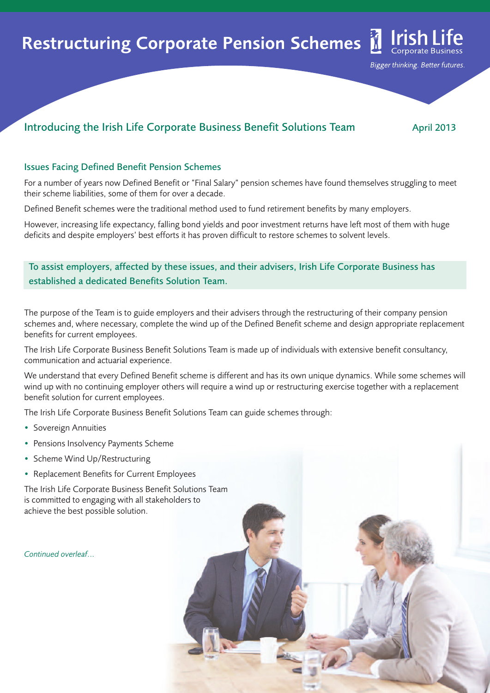# Restructuring Corporate Pension Schemes

## Introducing the Irish Life Corporate Business Benefit Solutions Team April 2013

<u>Irish Life</u>

Bigger thinking. Better futures.

#### Issues Facing Defined Benefit Pension Schemes

For a number of years now Defined Benefit or "Final Salary" pension schemes have found themselves struggling to meet their scheme liabilities, some of them for over a decade.

Defined Benefit schemes were the traditional method used to fund retirement benefits by many employers.

However, increasing life expectancy, falling bond yields and poor investment returns have left most of them with huge deficits and despite employers' best efforts it has proven difficult to restore schemes to solvent levels.

#### To assist employers, affected by these issues, and their advisers, Irish Life Corporate Business has established a dedicated Benefits Solution Team.

The purpose of the Team is to guide employers and their advisers through the restructuring of their company pension schemes and, where necessary, complete the wind up of the Defined Benefit scheme and design appropriate replacement benefits for current employees.

The Irish Life Corporate Business Benefit Solutions Team is made up of individuals with extensive benefit consultancy, communication and actuarial experience.

We understand that every Defined Benefit scheme is different and has its own unique dynamics. While some schemes will wind up with no continuing employer others will require a wind up or restructuring exercise together with a replacement benefit solution for current employees.

The Irish Life Corporate Business Benefit Solutions Team can guide schemes through:

- Sovereign Annuities
- Pensions Insolvency Payments Scheme
- Scheme Wind Up/Restructuring
- Replacement Benefits for Current Employees

The Irish Life Corporate Business Benefit Solutions Team is committed to engaging with all stakeholders to achieve the best possible solution.

*Continued overleaf*...